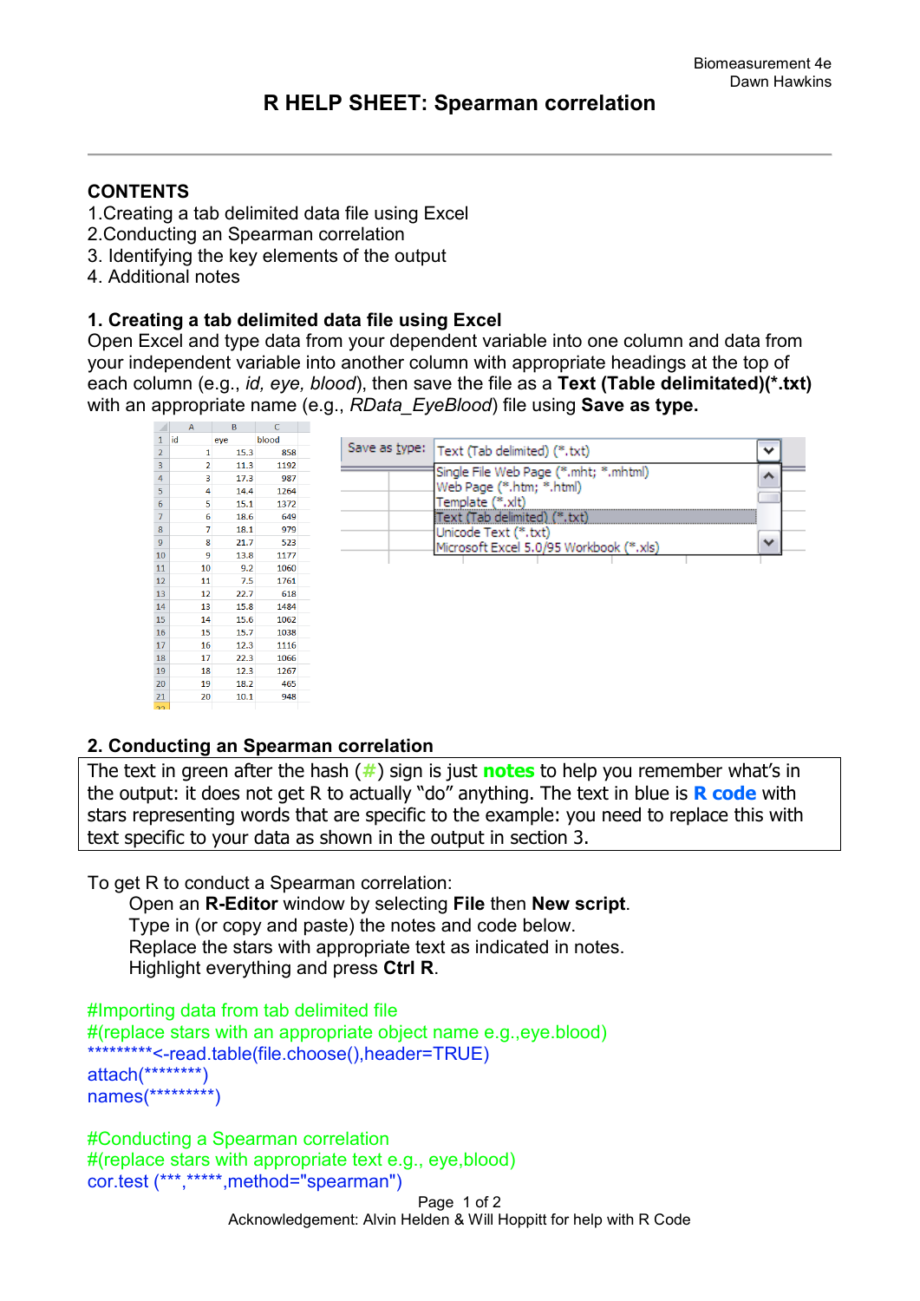## **CONTENTS**

- 1.Creating a tab delimited data file using Excel
- 2.Conducting an Spearman correlation
- 3. Identifying the key elements of the output
- 4. Additional notes

## **1. Creating a tab delimited data file using Excel**

Open Excel and type data from your dependent variable into one column and data from your independent variable into another column with appropriate headings at the top of each column (e.g., *id, eye, blood*), then save the file as a **Text (Table delimitated)(\*.txt)** with an appropriate name (e.g., *RData\_EyeBlood*) file using **Save as type.** 

|                | $\mathsf{A}$      | D    |       |                                              |              |  |
|----------------|-------------------|------|-------|----------------------------------------------|--------------|--|
| 1              | lid               | eye  | blood |                                              |              |  |
| $\overline{2}$ |                   | 15.3 | 858   | Save as type:   Text (Tab delimited) (*.txt) | ◡            |  |
| 3              | 2                 | 11.3 | 1192  | Single File Web Page (*.mht; *.mhtml)        |              |  |
| 4              | 3                 | 17.3 | 987   | Web Page (*.htm; *.html)                     | ∧            |  |
| 5              | 4                 | 14.4 | 1264  |                                              |              |  |
| 6              | 5                 | 15.1 | 1372  | Template (*.xlt)                             |              |  |
| $\overline{7}$ | 6                 | 18.6 | 649   | Fext (Tab delimited) (*.txt)                 |              |  |
| 8              | 7                 | 18.1 | 979   | Unicode Text (*, txt)                        |              |  |
| $9\,$          | 8                 | 21.7 | 523   | Microsoft Excel 5.0/95 Workbook (*.xls)      | $\checkmark$ |  |
| $10\,$         | 9                 | 13.8 | 1177  |                                              |              |  |
| 11             | 10                | 9.2  | 1060  |                                              |              |  |
| 12             | 11                | 7.5  | 1761  |                                              |              |  |
| 13             | $12 \overline{ }$ | 22.7 | 618   |                                              |              |  |
| 14             | 13                | 15.8 | 1484  |                                              |              |  |
| $15\,$         | 14                | 15.6 | 1062  |                                              |              |  |
| <b>16</b>      | 15                | 15.7 | 1038  |                                              |              |  |
| 17             | 16                | 12.3 | 1116  |                                              |              |  |
| 18             | 17                | 22.3 | 1066  |                                              |              |  |
| 19             | 18                | 12.3 | 1267  |                                              |              |  |
| 20             | 19                | 18.2 | 465   |                                              |              |  |
| 21             | 20                | 10.1 | 948   |                                              |              |  |

## **2. Conducting an Spearman correlation**

The text in green after the hash (**#**) sign is just **notes** to help you remember what's in the output: it does not get R to actually "do" anything. The text in blue is **R code** with stars representing words that are specific to the example: you need to replace this with text specific to your data as shown in the output in section 3.

To get R to conduct a Spearman correlation:

 Open an **R-Editor** window by selecting **File** then **New script**. Type in (or copy and paste) the notes and code below. Replace the stars with appropriate text as indicated in notes. Highlight everything and press **Ctrl R**.

```
#Importing data from tab delimited file 
#(replace stars with an appropriate object name e.g.,eye.blood)
*********<-read.table(file.choose(),header=TRUE)
attach(********)
names(*********)
```

```
#Conducting a Spearman correlation
#(replace stars with appropriate text e.g., eye,blood)
cor.test (***,*****,method="spearman")
```
Page 1 of 2 Acknowledgement: Alvin Helden & Will Hoppitt for help with R Code